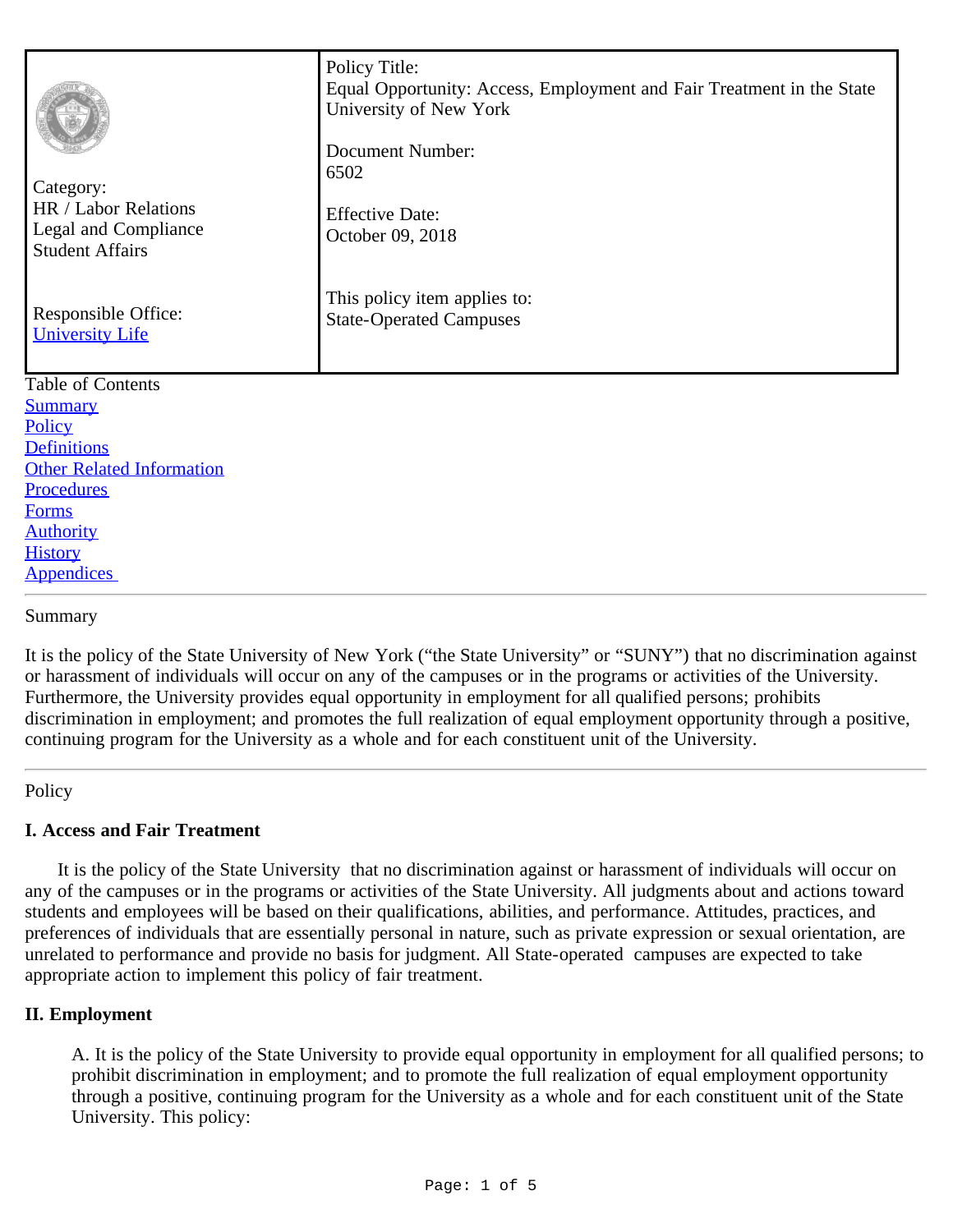| Category:<br>HR / Labor Relations<br>Legal and Compliance<br><b>Student Affairs</b><br>Responsible Office:<br><b>University Life</b> | Policy Title:<br>Equal Opportunity: Access, Employment and Fair Treatment in the State<br>University of New York<br><b>Document Number:</b><br>6502<br><b>Effective Date:</b><br>October 09, 2018<br>This policy item applies to:<br><b>State-Operated Campuses</b> |
|--------------------------------------------------------------------------------------------------------------------------------------|---------------------------------------------------------------------------------------------------------------------------------------------------------------------------------------------------------------------------------------------------------------------|
| <b>Table of Contents</b>                                                                                                             |                                                                                                                                                                                                                                                                     |
| <b>Summary</b>                                                                                                                       |                                                                                                                                                                                                                                                                     |
| Policy                                                                                                                               |                                                                                                                                                                                                                                                                     |
| <b>Definitions</b>                                                                                                                   |                                                                                                                                                                                                                                                                     |
| <b>Other Related Information</b>                                                                                                     |                                                                                                                                                                                                                                                                     |
| <b>Procedures</b>                                                                                                                    |                                                                                                                                                                                                                                                                     |
| <b>Forms</b>                                                                                                                         |                                                                                                                                                                                                                                                                     |
| <b>Authority</b><br><b>History</b>                                                                                                   |                                                                                                                                                                                                                                                                     |
| <b>Appendices</b>                                                                                                                    |                                                                                                                                                                                                                                                                     |

<span id="page-0-0"></span>Summary

It is the policy of the State University of New York ("the State University" or "SUNY") that no discrimination against or harassment of individuals will occur on any of the campuses or in the programs or activities of the University. Furthermore, the University provides equal opportunity in employment for all qualified persons; prohibits discrimination in employment; and promotes the full realization of equal employment opportunity through a positive, continuing program for the University as a whole and for each constituent unit of the University.

#### <span id="page-0-1"></span>Policy

# **I. Access and Fair Treatment**

 It is the policy of the State University that no discrimination against or harassment of individuals will occur on any of the campuses or in the programs or activities of the State University. All judgments about and actions toward students and employees will be based on their qualifications, abilities, and performance. Attitudes, practices, and preferences of individuals that are essentially personal in nature, such as private expression or sexual orientation, are unrelated to performance and provide no basis for judgment. All State-operated campuses are expected to take appropriate action to implement this policy of fair treatment.

# **II. Employment**

A. It is the policy of the State University to provide equal opportunity in employment for all qualified persons; to prohibit discrimination in employment; and to promote the full realization of equal employment opportunity through a positive, continuing program for the University as a whole and for each constituent unit of the State University. This policy: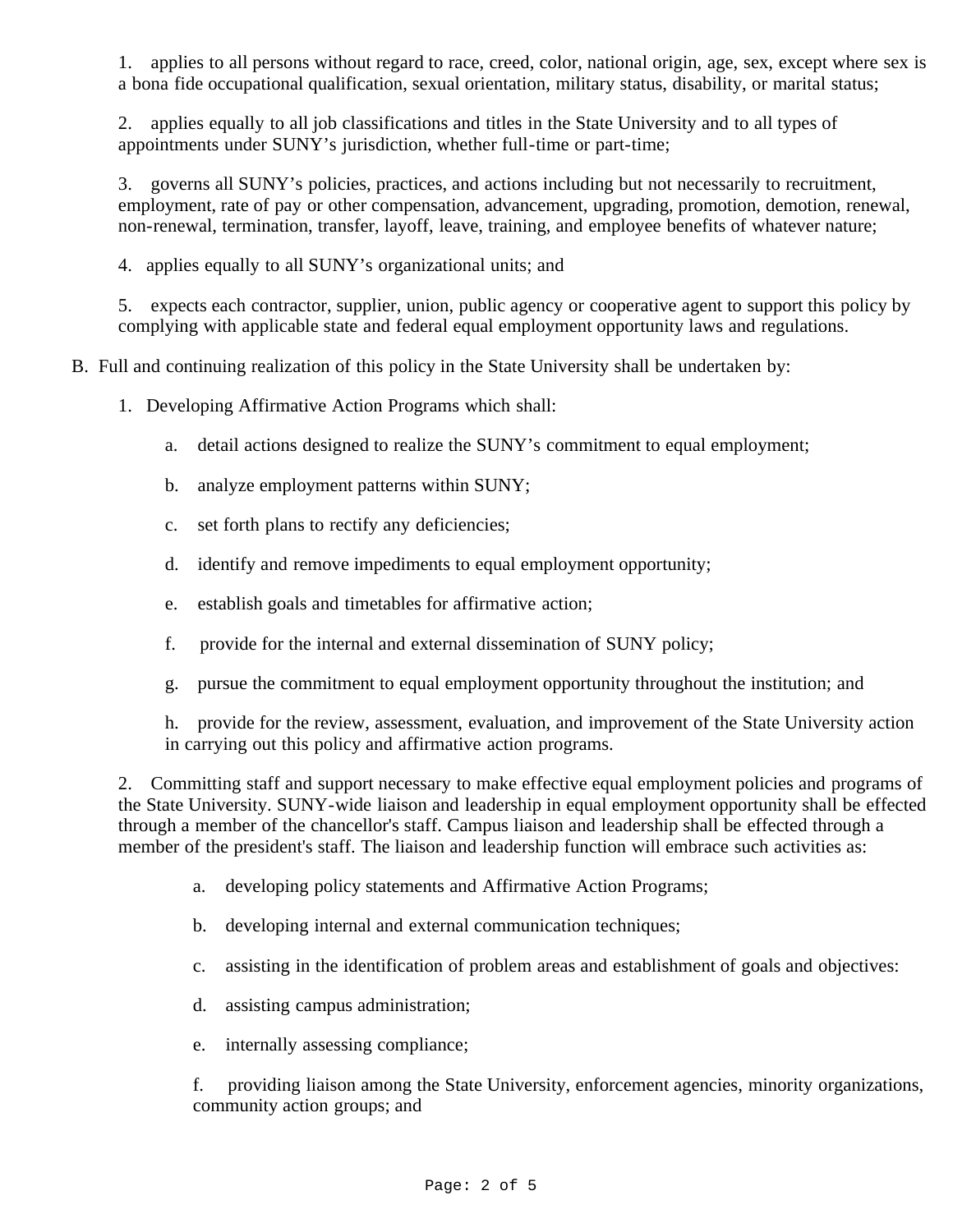1. applies to all persons without regard to race, creed, color, national origin, age, sex, except where sex is a bona fide occupational qualification, sexual orientation, military status, disability, or marital status;

2. applies equally to all job classifications and titles in the State University and to all types of appointments under SUNY's jurisdiction, whether full-time or part-time;

3. governs all SUNY's policies, practices, and actions including but not necessarily to recruitment, employment, rate of pay or other compensation, advancement, upgrading, promotion, demotion, renewal, non-renewal, termination, transfer, layoff, leave, training, and employee benefits of whatever nature;

4. applies equally to all SUNY's organizational units; and

5. expects each contractor, supplier, union, public agency or cooperative agent to support this policy by complying with applicable state and federal equal employment opportunity laws and regulations.

B. Full and continuing realization of this policy in the State University shall be undertaken by:

1. Developing Affirmative Action Programs which shall:

- a. detail actions designed to realize the SUNY's commitment to equal employment;
- b. analyze employment patterns within SUNY;
- c. set forth plans to rectify any deficiencies;
- d. identify and remove impediments to equal employment opportunity;
- e. establish goals and timetables for affirmative action;
- f. provide for the internal and external dissemination of SUNY policy;
- g. pursue the commitment to equal employment opportunity throughout the institution; and

h. provide for the review, assessment, evaluation, and improvement of the State University action in carrying out this policy and affirmative action programs.

2. Committing staff and support necessary to make effective equal employment policies and programs of the State University. SUNY-wide liaison and leadership in equal employment opportunity shall be effected through a member of the chancellor's staff. Campus liaison and leadership shall be effected through a member of the president's staff. The liaison and leadership function will embrace such activities as:

- a. developing policy statements and Affirmative Action Programs;
- b. developing internal and external communication techniques;
- c. assisting in the identification of problem areas and establishment of goals and objectives:
- d. assisting campus administration;
- e. internally assessing compliance;

f. providing liaison among the State University, enforcement agencies, minority organizations, community action groups; and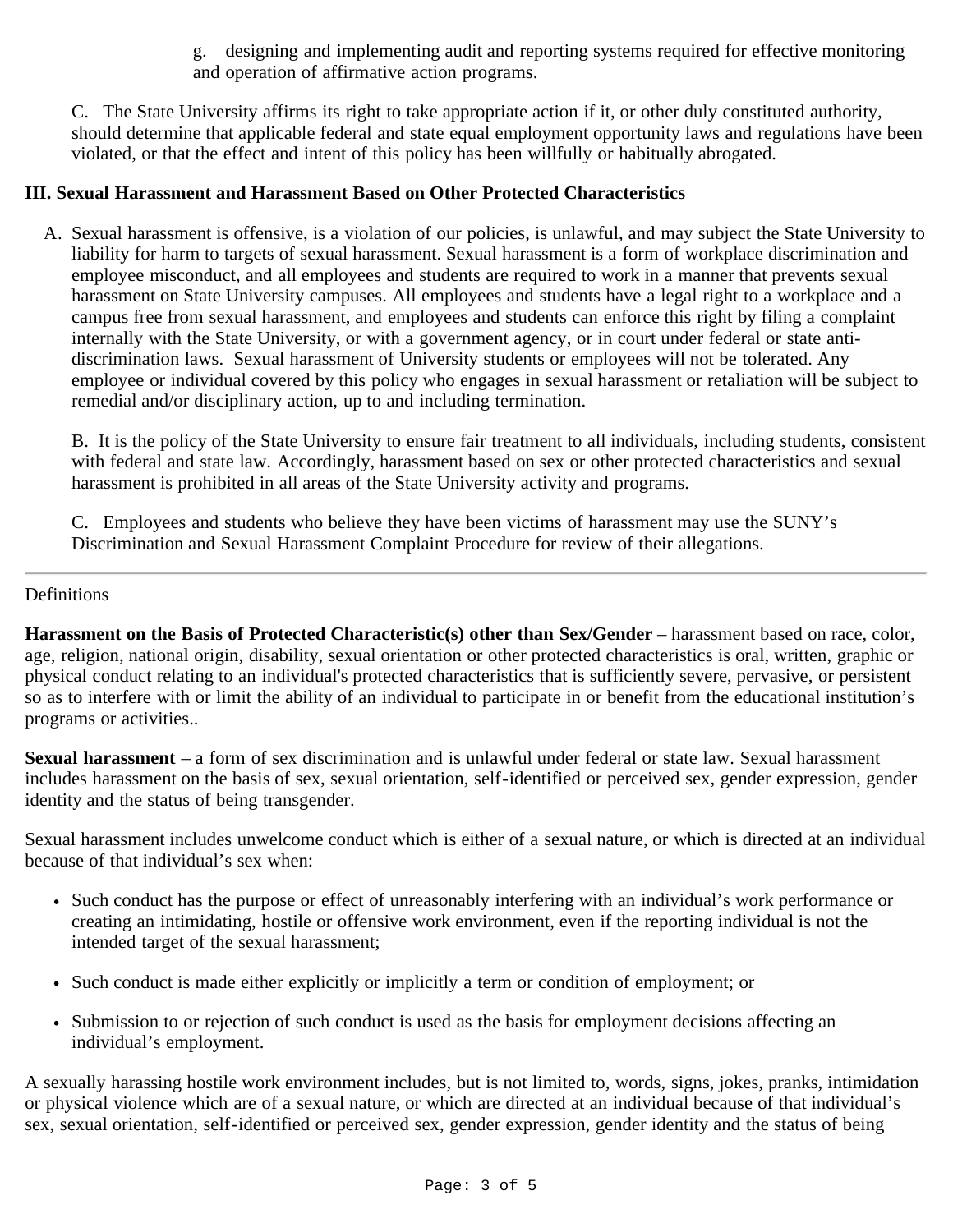g. designing and implementing audit and reporting systems required for effective monitoring and operation of affirmative action programs.

C. The State University affirms its right to take appropriate action if it, or other duly constituted authority, should determine that applicable federal and state equal employment opportunity laws and regulations have been violated, or that the effect and intent of this policy has been willfully or habitually abrogated.

### **III. Sexual Harassment and Harassment Based on Other Protected Characteristics**

A. Sexual harassment is offensive, is a violation of our policies, is unlawful, and may subject the State University to liability for harm to targets of sexual harassment. Sexual harassment is a form of workplace discrimination and employee misconduct, and all employees and students are required to work in a manner that prevents sexual harassment on State University campuses. All employees and students have a legal right to a workplace and a campus free from sexual harassment, and employees and students can enforce this right by filing a complaint internally with the State University, or with a government agency, or in court under federal or state antidiscrimination laws. Sexual harassment of University students or employees will not be tolerated. Any employee or individual covered by this policy who engages in sexual harassment or retaliation will be subject to remedial and/or disciplinary action, up to and including termination.

B. It is the policy of the State University to ensure fair treatment to all individuals, including students, consistent with federal and state law. Accordingly, harassment based on sex or other protected characteristics and sexual harassment is prohibited in all areas of the State University activity and programs.

C. Employees and students who believe they have been victims of harassment may use the SUNY's Discrimination and Sexual Harassment Complaint Procedure for review of their allegations.

### <span id="page-2-0"></span>**Definitions**

**Harassment on the Basis of Protected Characteristic(s) other than Sex/Gender** – harassment based on race, color, age, religion, national origin, disability, sexual orientation or other protected characteristics is oral, written, graphic or physical conduct relating to an individual's protected characteristics that is sufficiently severe, pervasive, or persistent so as to interfere with or limit the ability of an individual to participate in or benefit from the educational institution's programs or activities..

**Sexual harassment** – a form of sex discrimination and is unlawful under federal or state law. Sexual harassment includes harassment on the basis of sex, sexual orientation, self-identified or perceived sex, gender expression, gender identity and the status of being transgender.

Sexual harassment includes unwelcome conduct which is either of a sexual nature, or which is directed at an individual because of that individual's sex when:

- Such conduct has the purpose or effect of unreasonably interfering with an individual's work performance or creating an intimidating, hostile or offensive work environment, even if the reporting individual is not the intended target of the sexual harassment;
- Such conduct is made either explicitly or implicitly a term or condition of employment; or
- Submission to or rejection of such conduct is used as the basis for employment decisions affecting an individual's employment.

A sexually harassing hostile work environment includes, but is not limited to, words, signs, jokes, pranks, intimidation or physical violence which are of a sexual nature, or which are directed at an individual because of that individual's sex, sexual orientation, self-identified or perceived sex, gender expression, gender identity and the status of being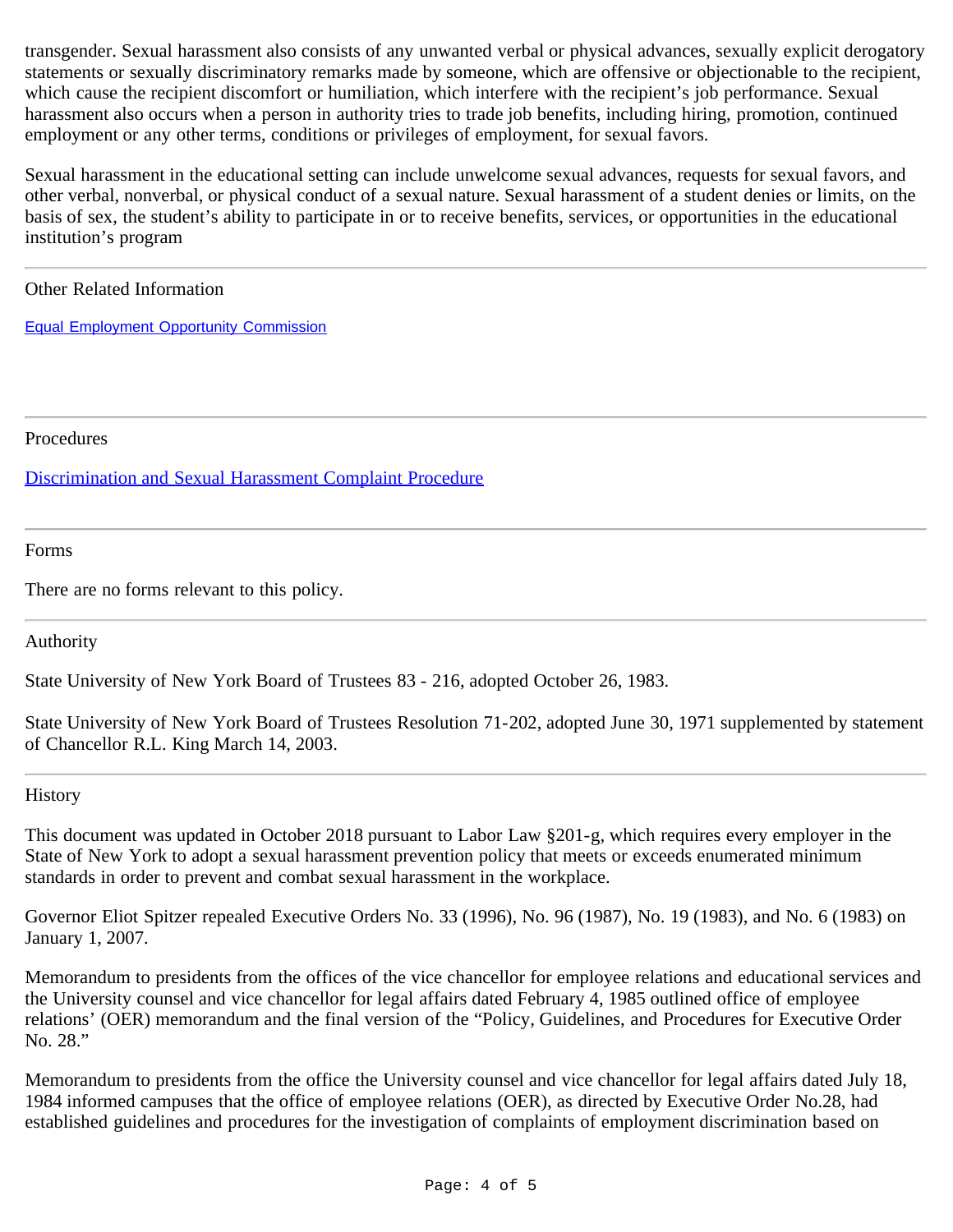transgender. Sexual harassment also consists of any unwanted verbal or physical advances, sexually explicit derogatory statements or sexually discriminatory remarks made by someone, which are offensive or objectionable to the recipient, which cause the recipient discomfort or humiliation, which interfere with the recipient's job performance. Sexual harassment also occurs when a person in authority tries to trade job benefits, including hiring, promotion, continued employment or any other terms, conditions or privileges of employment, for sexual favors.

Sexual harassment in the educational setting can include unwelcome sexual advances, requests for sexual favors, and other verbal, nonverbal, or physical conduct of a sexual nature. Sexual harassment of a student denies or limits, on the basis of sex, the student's ability to participate in or to receive benefits, services, or opportunities in the educational institution's program

#### <span id="page-3-0"></span>Other Related Information

[Equal Employment Opportunity Commission](http://www.eeoc.gov/)

<span id="page-3-1"></span>Procedures

[Discrimination and Sexual Harassment Complaint Procedure](http://www.suny.edu/sunypp/lookup.cfm?lookup_id=451)

<span id="page-3-2"></span>Forms

There are no forms relevant to this policy.

<span id="page-3-3"></span>Authority

State University of New York Board of Trustees 83 - 216, adopted October 26, 1983.

State University of New York Board of Trustees Resolution 71-202, adopted June 30, 1971 supplemented by statement of Chancellor R.L. King March 14, 2003.

<span id="page-3-4"></span>**History** 

This document was updated in October 2018 pursuant to Labor Law §201-g, which requires every employer in the State of New York to adopt a sexual harassment prevention policy that meets or exceeds enumerated minimum standards in order to prevent and combat sexual harassment in the workplace.

Governor Eliot Spitzer repealed Executive Orders No. 33 (1996), No. 96 (1987), No. 19 (1983), and No. 6 (1983) on January 1, 2007.

Memorandum to presidents from the offices of the vice chancellor for employee relations and educational services and the University counsel and vice chancellor for legal affairs dated February 4, 1985 outlined office of employee relations' (OER) memorandum and the final version of the "Policy, Guidelines, and Procedures for Executive Order No. 28."

Memorandum to presidents from the office the University counsel and vice chancellor for legal affairs dated July 18, 1984 informed campuses that the office of employee relations (OER), as directed by Executive Order No.28, had established guidelines and procedures for the investigation of complaints of employment discrimination based on